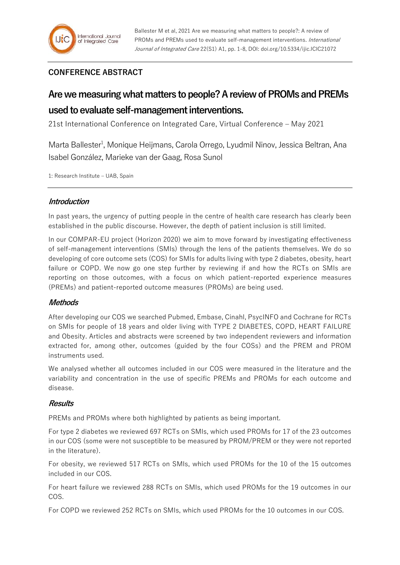# **CONFERENCE ABSTRACT**

# **Are we measuring what matters to people?A review of PROMs and PREMs used to evaluate self-management interventions.**

21st International Conference on Integrated Care, Virtual Conference – May 2021

Marta Ballester<sup>1</sup>, Monique Heijmans, Carola Orrego, Lyudmil Ninov, Jessica Beltran, Ana Isabel González, Marieke van der Gaag, Rosa Sunol

1: Research Institute – UAB, Spain

## **Introduction**

In past years, the urgency of putting people in the centre of health care research has clearly been established in the public discourse. However, the depth of patient inclusion is still limited.

In our COMPAR-EU project (Horizon 2020) we aim to move forward by investigating effectiveness of self-management interventions (SMIs) through the lens of the patients themselves. We do so developing of core outcome sets (COS) for SMIs for adults living with type 2 diabetes, obesity, heart failure or COPD. We now go one step further by reviewing if and how the RCTs on SMIs are reporting on those outcomes, with a focus on which patient-reported experience measures (PREMs) and patient-reported outcome measures (PROMs) are being used.

#### **Methods**

After developing our COS we searched Pubmed, Embase, Cinahl, PsycINFO and Cochrane for RCTs on SMIs for people of 18 years and older living with TYPE 2 DIABETES, COPD, HEART FAILURE and Obesity. Articles and abstracts were screened by two independent reviewers and information extracted for, among other, outcomes (guided by the four COSs) and the PREM and PROM instruments used.

We analysed whether all outcomes included in our COS were measured in the literature and the variability and concentration in the use of specific PREMs and PROMs for each outcome and disease.

#### **Results**

PREMs and PROMs where both highlighted by patients as being important.

For type 2 diabetes we reviewed 697 RCTs on SMIs, which used PROMs for 17 of the 23 outcomes in our COS (some were not susceptible to be measured by PROM/PREM or they were not reported in the literature).

For obesity, we reviewed 517 RCTs on SMIs, which used PROMs for the 10 of the 15 outcomes included in our COS.

For heart failure we reviewed 288 RCTs on SMIs, which used PROMs for the 19 outcomes in our COS.

For COPD we reviewed 252 RCTs on SMIs, which used PROMs for the 10 outcomes in our COS.